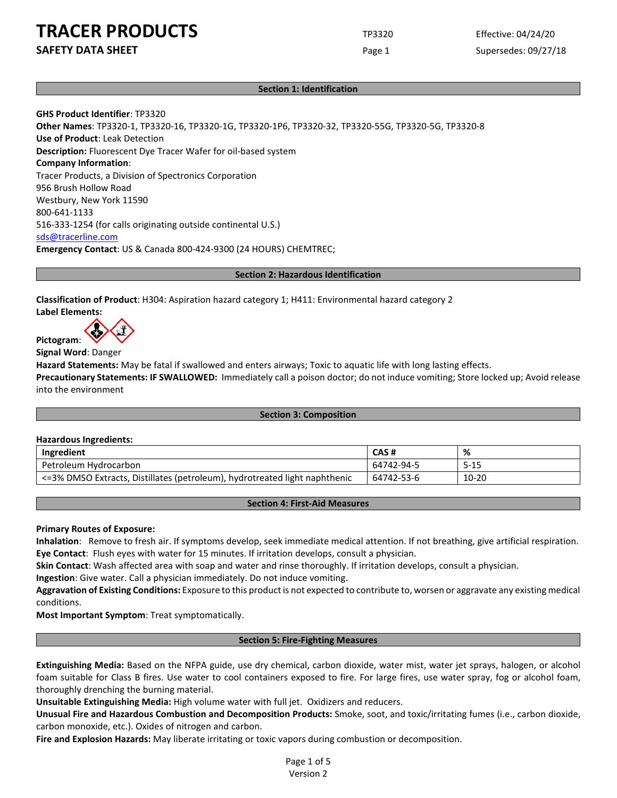**SAFETY DATA SHEET** SUPERFOUR CONSUMING THE Page 1 Supersedes: 09/27/18

## **Section 1: Identification**

**GHS Product Identifier**: TP3320 **Other Names**: TP3320-1, TP3320-16, TP3320-1G, TP3320-1P6, TP3320-32, TP3320-55G, TP3320-5G, TP3320-8 **Use of Product**: Leak Detection **Description:** Fluorescent Dye Tracer Wafer for oil-based system **Company Information**: Tracer Products, a Division of Spectronics Corporation 956 Brush Hollow Road Westbury, New York 11590 800-641-1133 516-333-1254 (for calls originating outside continental U.S.) [sds@tracerline.com](mailto:sds@tracerline.com) **Emergency Contact**: US & Canada 800-424-9300 (24 HOURS) CHEMTREC;

#### **Section 2: Hazardous Identification**

**Classification of Product**: H304: Aspiration hazard category 1; H411: Environmental hazard category 2 **Label Elements:**

**Pictogram**:

**Signal Word**: Danger

**Hazard Statements:** May be fatal if swallowed and enters airways; Toxic to aquatic life with long lasting effects.

**Precautionary Statements: IF SWALLOWED:** Immediately call a poison doctor; do not induce vomiting; Store locked up; Avoid release into the environment

#### **Section 3: Composition**

#### **Hazardous Ingredients:**

| Ingredient                                                                 | CAS#       | %         |
|----------------------------------------------------------------------------|------------|-----------|
| Petroleum Hydrocarbon                                                      | 64742-94-5 | $5 - 15$  |
| <=3% DMSO Extracts, Distillates (petroleum), hydrotreated light naphthenic | 64742-53-6 | $10 - 20$ |

## **Section 4: First-Aid Measures**

#### **Primary Routes of Exposure:**

**Inhalation**: Remove to fresh air. If symptoms develop, seek immediate medical attention. If not breathing, give artificial respiration. **Eye Contact**: Flush eyes with water for 15 minutes. If irritation develops, consult a physician.

**Skin Contact**: Wash affected area with soap and water and rinse thoroughly. If irritation develops, consult a physician.

**Ingestion**: Give water. Call a physician immediately. Do not induce vomiting.

**Aggravation of Existing Conditions:** Exposure to this product is not expected to contribute to, worsen or aggravate any existing medical conditions.

**Most Important Symptom**: Treat symptomatically.

#### **Section 5: Fire-Fighting Measures**

**Extinguishing Media:** Based on the NFPA guide, use dry chemical, carbon dioxide, water mist, water jet sprays, halogen, or alcohol foam suitable for Class B fires. Use water to cool containers exposed to fire. For large fires, use water spray, fog or alcohol foam, thoroughly drenching the burning material.

**Unsuitable Extinguishing Media:** High volume water with full jet. Oxidizers and reducers.

**Unusual Fire and Hazardous Combustion and Decomposition Products:** Smoke, soot, and toxic/irritating fumes (i.e., carbon dioxide, carbon monoxide, etc.). Oxides of nitrogen and carbon.

**Fire and Explosion Hazards:** May liberate irritating or toxic vapors during combustion or decomposition.

Page 1 of 5 Version 2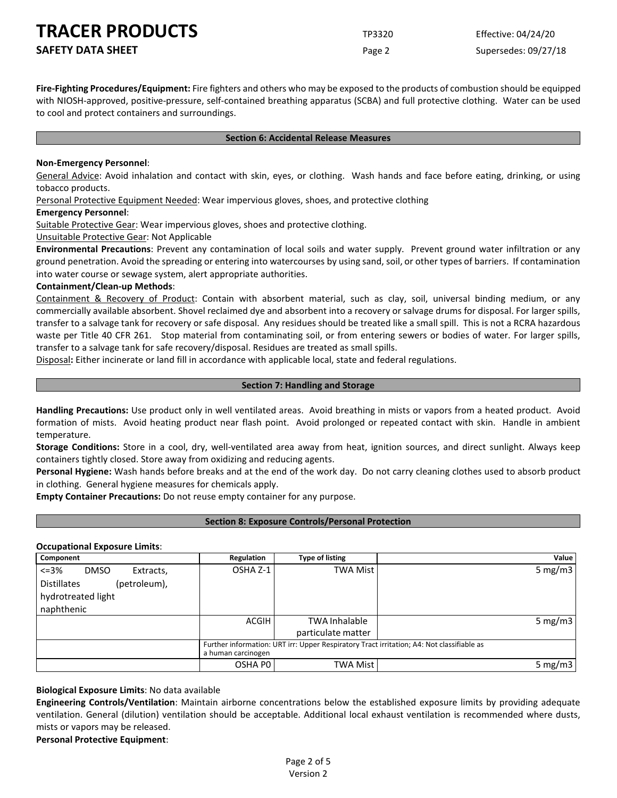**Fire-Fighting Procedures/Equipment:** Fire fighters and others who may be exposed to the products of combustion should be equipped with NIOSH-approved, positive-pressure, self-contained breathing apparatus (SCBA) and full protective clothing. Water can be used to cool and protect containers and surroundings.

#### **Section 6: Accidental Release Measures**

#### **Non-Emergency Personnel**:

General Advice: Avoid inhalation and contact with skin, eyes, or clothing. Wash hands and face before eating, drinking, or using tobacco products.

Personal Protective Equipment Needed: Wear impervious gloves, shoes, and protective clothing

#### **Emergency Personnel**:

Suitable Protective Gear: Wear impervious gloves, shoes and protective clothing.

Unsuitable Protective Gear: Not Applicable

**Environmental Precautions**: Prevent any contamination of local soils and water supply. Prevent ground water infiltration or any ground penetration. Avoid the spreading or entering into watercourses by using sand, soil, or other types of barriers. If contamination into water course or sewage system, alert appropriate authorities.

#### **Containment/Clean-up Methods**:

Containment & Recovery of Product: Contain with absorbent material, such as clay, soil, universal binding medium, or any commercially available absorbent. Shovel reclaimed dye and absorbent into a recovery or salvage drums for disposal. For larger spills, transfer to a salvage tank for recovery or safe disposal. Any residues should be treated like a small spill. This is not a RCRA hazardous waste per Title 40 CFR 261. Stop material from contaminating soil, or from entering sewers or bodies of water. For larger spills, transfer to a salvage tank for safe recovery/disposal. Residues are treated as small spills.

Disposal**:** Either incinerate or land fill in accordance with applicable local, state and federal regulations.

#### **Section 7: Handling and Storage**

**Handling Precautions:** Use product only in well ventilated areas. Avoid breathing in mists or vapors from a heated product. Avoid formation of mists. Avoid heating product near flash point. Avoid prolonged or repeated contact with skin. Handle in ambient temperature.

**Storage Conditions:** Store in a cool, dry, well-ventilated area away from heat, ignition sources, and direct sunlight. Always keep containers tightly closed. Store away from oxidizing and reducing agents.

**Personal Hygiene:** Wash hands before breaks and at the end of the work day. Do not carry cleaning clothes used to absorb product in clothing. General hygiene measures for chemicals apply.

**Empty Container Precautions:** Do not reuse empty container for any purpose.

## **Section 8: Exposure Controls/Personal Protection**

## **Occupational Exposure Limits**:

| Component                            | Regulation                                                                                                      | <b>Type of listing</b> | Value      |
|--------------------------------------|-----------------------------------------------------------------------------------------------------------------|------------------------|------------|
| $< = 3%$<br><b>DMSO</b><br>Extracts, | OSHA Z-1                                                                                                        | TWA Mist               | 5 mg/m3    |
| <b>Distillates</b><br>(petroleum),   |                                                                                                                 |                        |            |
| hydrotreated light                   |                                                                                                                 |                        |            |
| naphthenic                           |                                                                                                                 |                        |            |
|                                      | <b>ACGIH</b>                                                                                                    | <b>TWA Inhalable</b>   | 5 mg/m $3$ |
|                                      |                                                                                                                 | particulate matter     |            |
|                                      | Further information: URT irr: Upper Respiratory Tract irritation; A4: Not classifiable as<br>a human carcinogen |                        |            |
|                                      | OSHA PO                                                                                                         | TWA Mist               | 5 mg/m $3$ |

**Biological Exposure Limits**: No data available

**Engineering Controls/Ventilation**: Maintain airborne concentrations below the established exposure limits by providing adequate ventilation. General (dilution) ventilation should be acceptable. Additional local exhaust ventilation is recommended where dusts, mists or vapors may be released.

**Personal Protective Equipment**: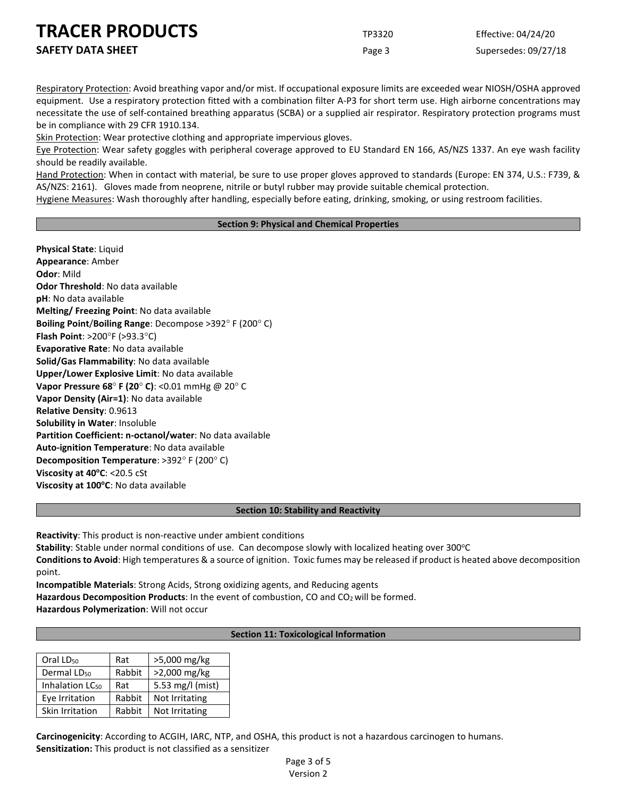Respiratory Protection: Avoid breathing vapor and/or mist. If occupational exposure limits are exceeded wear NIOSH/OSHA approved equipment. Use a respiratory protection fitted with a combination filter A-P3 for short term use. High airborne concentrations may necessitate the use of self-contained breathing apparatus (SCBA) or a supplied air respirator. Respiratory protection programs must be in compliance with 29 CFR 1910.134.

Skin Protection: Wear protective clothing and appropriate impervious gloves.

Eye Protection: Wear safety goggles with peripheral coverage approved to EU Standard EN 166, AS/NZS 1337. An eye wash facility should be readily available.

Hand Protection: When in contact with material, be sure to use proper gloves approved to standards (Europe: EN 374, U.S.: F739, & AS/NZS: 2161). Gloves made from neoprene, nitrile or butyl rubber may provide suitable chemical protection.

Hygiene Measures: Wash thoroughly after handling, especially before eating, drinking, smoking, or using restroom facilities.

## **Section 9: Physical and Chemical Properties**

**Physical State**: Liquid **Appearance**: Amber **Odor**: Mild **Odor Threshold**: No data available **pH**: No data available **Melting/ Freezing Point**: No data available **Boiling Point**/**Boiling Range**: Decompose >392° F (200° C) **Flash Point**: >200°F (>93.3°C) **Evaporative Rate**: No data available **Solid/Gas Flammability**: No data available **Upper/Lower Explosive Limit**: No data available **Vapor Pressure 68**° **F (20**° **C)**: <0.01 mmHg @ 20° C **Vapor Density (Air=1)**: No data available **Relative Density**: 0.9613 **Solubility in Water**: Insoluble **Partition Coefficient: n-octanol/water**: No data available **Auto-ignition Temperature**: No data available **Decomposition Temperature**: >392° F (200° C) **Viscosity at 40°C: <20.5 cSt** Viscosity at 100°C: No data available

## **Section 10: Stability and Reactivity**

**Reactivity**: This product is non-reactive under ambient conditions

**Stability**: Stable under normal conditions of use. Can decompose slowly with localized heating over 300°C

**Conditions to Avoid**: High temperatures & a source of ignition. Toxic fumes may be released if product is heated above decomposition point.

**Incompatible Materials**: Strong Acids, Strong oxidizing agents, and Reducing agents

Hazardous Decomposition Products: In the event of combustion, CO and CO<sub>2</sub> will be formed.

**Hazardous Polymerization**: Will not occur

## **Section 11: Toxicological Information**

| Oral LD <sub>50</sub>       | Rat    | >5,000 mg/kg     |
|-----------------------------|--------|------------------|
| Dermal LD <sub>50</sub>     | Rabbit | >2,000 mg/kg     |
| Inhalation LC <sub>50</sub> | Rat    | 5.53 mg/l (mist) |
| Eye Irritation              | Rabbit | Not Irritating   |
| Skin Irritation             | Rabbit | Not Irritating   |

**Carcinogenicity**: According to ACGIH, IARC, NTP, and OSHA, this product is not a hazardous carcinogen to humans. **Sensitization:** This product is not classified as a sensitizer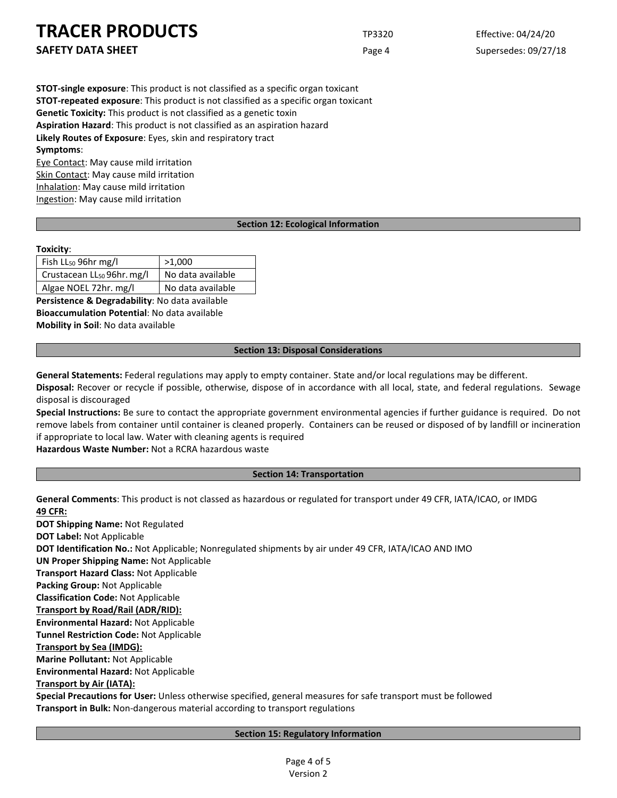**SAFETY DATA SHEET** SUPERFOUR CONSUMING THE Page 4 Supersedes: 09/27/18

**STOT-single exposure**: This product is not classified as a specific organ toxicant **STOT-repeated exposure**: This product is not classified as a specific organ toxicant **Genetic Toxicity:** This product is not classified as a genetic toxin **Aspiration Hazard**: This product is not classified as an aspiration hazard **Likely Routes of Exposure**: Eyes, skin and respiratory tract **Symptoms**:

Eye Contact: May cause mild irritation Skin Contact: May cause mild irritation Inhalation: May cause mild irritation Ingestion: May cause mild irritation

## **Section 12: Ecological Information**

## **Toxicity**:

| Fish $LL_{50}$ 96hr mg/l               | >1,000            |
|----------------------------------------|-------------------|
| Crustacean LL <sub>50</sub> 96hr. mg/l | No data available |
| Algae NOEL 72hr. mg/l                  | No data available |

**Persistence & Degradability**: No data available **Bioaccumulation Potential**: No data available **Mobility in Soil**: No data available

#### **Section 13: Disposal Considerations**

**General Statements:** Federal regulations may apply to empty container. State and/or local regulations may be different.

**Disposal:** Recover or recycle if possible, otherwise, dispose of in accordance with all local, state, and federal regulations. Sewage disposal is discouraged

**Special Instructions:** Be sure to contact the appropriate government environmental agencies if further guidance is required. Do not remove labels from container until container is cleaned properly. Containers can be reused or disposed of by landfill or incineration if appropriate to local law. Water with cleaning agents is required

**Hazardous Waste Number:** Not a RCRA hazardous waste

## **Section 14: Transportation**

**General Comments**: This product is not classed as hazardous or regulated for transport under 49 CFR, IATA/ICAO, or IMDG **49 CFR:**

**DOT Shipping Name:** Not Regulated **DOT Label:** Not Applicable **DOT Identification No.:** Not Applicable; Nonregulated shipments by air under 49 CFR, IATA/ICAO AND IMO **UN Proper Shipping Name:** Not Applicable **Transport Hazard Class:** Not Applicable **Packing Group:** Not Applicable **Classification Code:** Not Applicable **Transport by Road/Rail (ADR/RID): Environmental Hazard:** Not Applicable **Tunnel Restriction Code:** Not Applicable **Transport by Sea (IMDG): Marine Pollutant:** Not Applicable **Environmental Hazard:** Not Applicable **Transport by Air (IATA): Special Precautions for User:** Unless otherwise specified, general measures for safe transport must be followed

**Transport in Bulk:** Non-dangerous material according to transport regulations

## **Section 15: Regulatory Information**